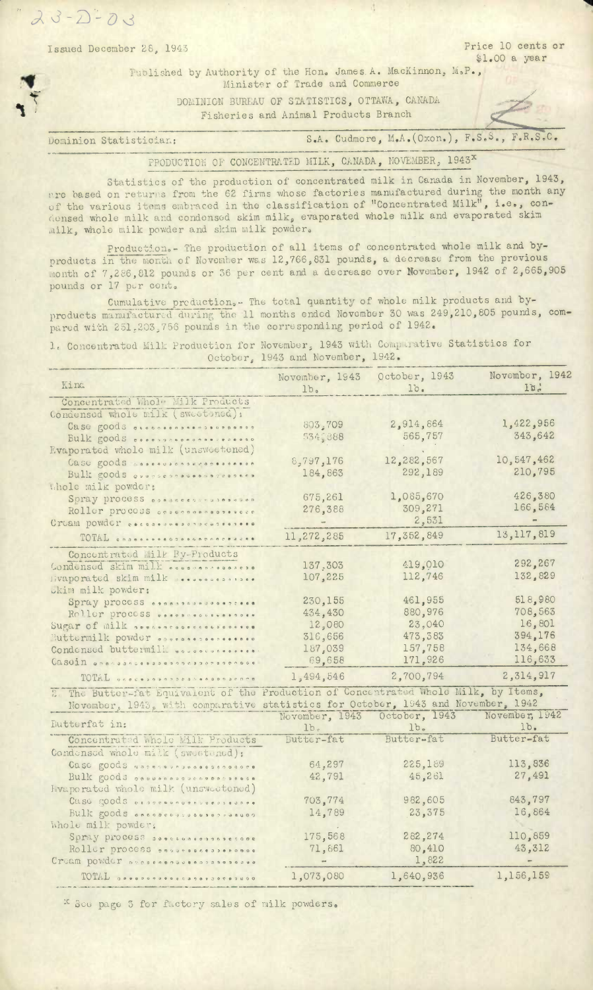Issued December 28, 1943 Price 10 cents or \$1.00 a year

Fuolished by Authority of the Hon. James.A. MacKinnon, M.P., Minister of Trade and Commerce

> DOMINION BUREAU OF STATISTICS, OTTAWA, CANADA Fisheries and Animal Products Branch

Dominion Statistician: S.A. Cudmore, M.A. (Oxon.), F.S.S., F.R.S.C.

PRODUCTION OF CONCENTRATED MILK, CANADA, NOVEMBER, 1943<sup>x</sup>

Statistics of the production of concentrated milk in Canada in November, 1943,  $n$ re based on returns from the 62 firms whose factories manufactured during the month any of the various items embraced in the classification of "Concentrated Milk", i.e., conconsed whole milk and condensed skim milk, evaporated whole milk and evaporated skim milk, whole milk powder and skim milk powder.

Production.- The production of all items of concentrated whole milk and byproducts in the month of November was 12,766,831 pounds, a decrease from the previous ionth of 7,286,812 pounds or 36 per cent and a decrease over Uovember, 1942 of 2,665,905 pounds or 17 per cont.

Cumulative production.- The total quantity of whole milk products and byproducts manufactured during the 11 months ended November 30 was 249,210,805 pounds, compared with 251.203.756 pounds in the corresponding period of 1942.

1. Concentratod Milk Production for November, 1943 with Comparative Statistics for October, 1943 and November, 1942.

| Kind                                                                                 | November, 1943<br>1b <sub>s</sub> | October, 1943<br>lo. | November, 1942<br>Ib. |
|--------------------------------------------------------------------------------------|-----------------------------------|----------------------|-----------------------|
| Concentrated Whole Milk Products                                                     |                                   |                      |                       |
| Condensed whole milk (sweetened):                                                    |                                   |                      |                       |
| Case goods occoorders                                                                | 803,709                           | 2,914,864            | 1,422,956             |
| Bulk goods coopspaces and assessed                                                   | 534,888                           | 565,757              | 343,642               |
| Evaporated whole milk (unsweetened)                                                  |                                   |                      |                       |
| Case goods assessenceranescense                                                      | 8,797,176                         | 12,282,567           | 10,547,462            |
| Bulk goods <i>quansesnaves</i> increases                                             | 184,863                           | 292,189              | 210,795               |
| Whole milk powder:                                                                   |                                   |                      |                       |
| Spray process consecuences                                                           | 675,261                           | 1,085,670            | 426,380               |
| Roller process casessessessesses                                                     | 276,388                           | 309,271              | 166,584               |
| Cruam powder cococococococococococo                                                  | $\rightarrow$                     | 2,531                |                       |
| TOTAL conservesores accesses                                                         | 11,272,285                        | 17,352,849           | 13,117,819            |
| Concentrated Milk By-Products                                                        |                                   |                      |                       |
| Condensed skim milk                                                                  | 137.303                           | 419,010              | 292,267               |
| Hvaporated skim milk seesessessise.                                                  | 107,225                           | 112,746              | 132,829               |
| Dkim milk powder:                                                                    |                                   |                      |                       |
| Spray process                                                                        | 230,155                           | 461,955              | 518,980               |
| Roller process                                                                       | 434,430                           | 880,976              | 708,563               |
| Sugar of milk approaccessessesses                                                    | 12,080                            | 23,040               | 16,801                |
| Buttermilk powder opproprocessesses                                                  | 316,656                           | 473,383              | 394,176               |
| Condensed buttermill                                                                 | 187.039                           | 157,758              | 134,668               |
| Casein enacusations and presentation ave                                             | 69,658                            | 171,926              | 116,633               |
|                                                                                      |                                   | 2,700,794            | 2,314,917             |
| TOTAL DECRESSES DES SERGERS SERGER                                                   | 1,494,546                         |                      |                       |
| 2. The Butter-fat Equivalent of the Production of Concentrated Whole Milk, by Items, |                                   |                      |                       |
| November, 1943, with comparative statistics for October, 1943 and November, 1942     |                                   |                      |                       |
| Butterfat in:                                                                        | November, 1943 October, 1943      |                      | November, 1942        |
|                                                                                      | 1 <sub>b</sub>                    | 1b <sub>o</sub>      | $1b$ .<br>Butter-fat  |
| Concentrated Whole Milk Products                                                     | Butter-fat                        | Butter-fat           |                       |
| Condensed whole milk (swestened):                                                    |                                   |                      |                       |
| Case goods asservancesescossore                                                      | 64,297                            | 225,189              | 113,836               |
| Bulk goods pappanosquessentsessa                                                     | 42,791                            | 45,261               | 27,491                |
| Hvaporated whole milk (unsweetened)                                                  |                                   |                      |                       |
| Case goods acorrespondencessedane                                                    | 703,774                           | 982,605              | 843,797               |
| Bulk goods oneobeversoononaavon                                                      | 14,789                            | 23,375               | 16,864                |
| Whole milk powder:                                                                   |                                   |                      |                       |
| Spray process secretations accore                                                    | 175,568                           | 282,274              | 110,859               |
| Roller process conversated as a conse                                                | 71,861                            | 80,410               | 43,312                |
|                                                                                      |                                   | 1,822                |                       |
| TOTAL GOODDOOD O O CAROLLAGO ADOGO                                                   | 1,073,080                         | 1,640,936            | 1,156,159             |

x See page 3 for factory sales of milk powders.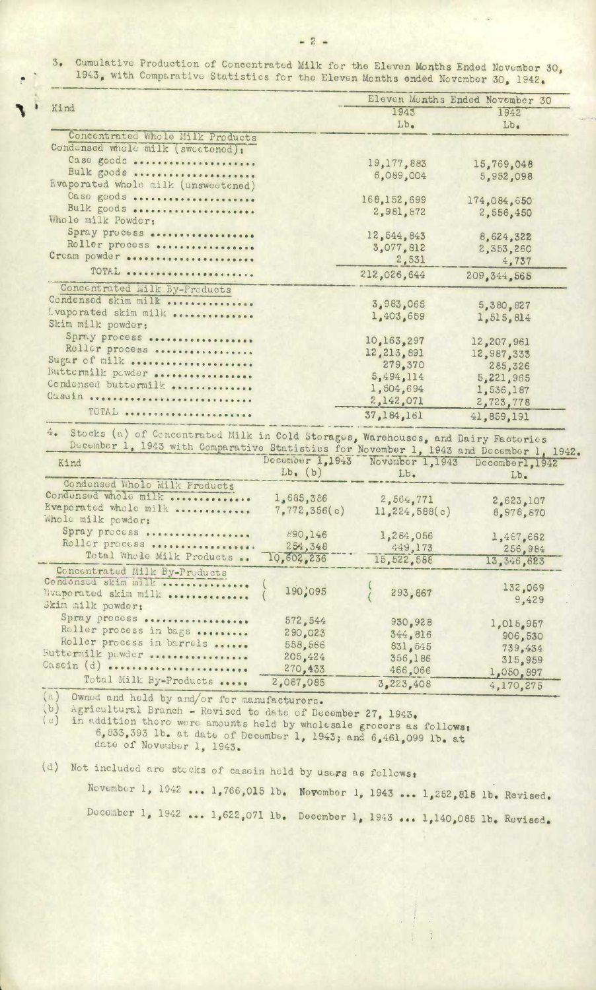$-2-$ 

Cumulative Production of Concentrated Milk for the Eleven Months Ended November 30,  $3.$ 1943, with Comparative Statistics for the Eleven Months ended November 30, 1942.

| Kind                                | Eleven Months Ended November 30 |             |  |
|-------------------------------------|---------------------------------|-------------|--|
|                                     | 1943<br>$Lb$ .                  | 1942        |  |
| Concentrated Whole Milk Products    |                                 | $Lb$ .      |  |
| Condonsed whole milk (sweetened):   |                                 |             |  |
| Case goods                          | 19,177,883                      |             |  |
| Bulk goods                          | 6,089,004                       | 15,769,048  |  |
| Evaporated whole milk (unsweetened) |                                 | 5,952,098   |  |
| Caso goods                          | 168,152,699                     | 174,084,650 |  |
| Bulk goods                          | 2,981,872                       | 2,556,450   |  |
| Whole milk Powder:                  |                                 |             |  |
| Spray process                       | 12,544,843                      | 8,624,322   |  |
| Roller process                      | 3,077,812                       | 2,353,260   |  |
| Cream powder                        | 2,531                           | 4,737       |  |
| TOTAL                               | 212,026,644                     | 209.344.565 |  |
| Concentrated Milk By-Products       |                                 |             |  |
| Condensed skim milk                 | 3,983,065                       | 5,380,827   |  |
| Lvaporated skim milk                | 1,403,659                       | 1,515,814   |  |
| Skim milk powder:                   |                                 |             |  |
| Spray process                       | 10,163,297                      | 12,207,961  |  |
| Roller process                      | 12,213,891                      | 12,987,333  |  |
| Sugar of milk                       | 279.370                         | 285,326     |  |
| Buttermilk powder                   | 5,494,114                       | 5,221,965   |  |
| Condensed buttermilk                | 1,504,694                       | 1,536,187   |  |
| Cassin                              | 2,142,071                       | 2,723,778   |  |
| TOTAL                               | 37,184,161                      | 41,859,191  |  |

4. Stocks (a) of Concentrated Milk in Cold Storages, Warehouses, and Dairy Factories<br>December 1, 1943 with Comparative Statistics for November 1, 1943 and December 1, 1942.

| Kind                                                                                                    | December 1,1943<br>$Lb.$ (b)                        | November 1,1943<br>Lb.                              | m <u>NA AAHEAA</u> TT TAI<br>Decemberl, 1942<br>$Lb$ .  |
|---------------------------------------------------------------------------------------------------------|-----------------------------------------------------|-----------------------------------------------------|---------------------------------------------------------|
| Condensed Wholo Milk Products<br>Condensed whole milk<br>Evaporated whole milk<br>Whole milk powder:    | 1,685,386<br>7,772,356(c)                           | 2,564,771<br>11,224,588(c)                          | 2,623,107<br>8,978,870                                  |
| Spray process<br>Roller process<br>Total Whole Milk Products                                            | 890,146<br>254,348<br>10,602,236                    | 1,284,056<br>449,173<br>15,522,588                  | 1,467,662<br>256,984<br>13, 346, 623                    |
| Concentrated Milk By-Products<br>Condonsed skim milk<br>Hvaporated skim milk<br>Skim milk powder:       | 190,095                                             | 293,867                                             | 132,069<br>9,429                                        |
| Spray process<br>Roller process in bags<br>Roller process in barrols<br>Buttermilk powder<br>Casein (d) | 572,544<br>290,023<br>558,566<br>205,424<br>270,433 | 930,928<br>344,816<br>831,545<br>356,186<br>466,066 | 1,015,957<br>906,530<br>739,434<br>315,959<br>1,050,897 |
| Total Milk By-Products                                                                                  | 2,087,085                                           | 3,223,408                                           | 4,170,275                                               |

(a) Owned and held by and/or for manufacturers.  $(b)$ 

Agricultural Branch - Revised to date of December 27, 1943.  $(c)$ 

in addition there were amounts held by wholesale grocers as follows: 6,833,393 lb. at date of December 1, 1943; and 6,461,099 lb. at date of November 1, 1943.

(d) Not included are stocks of casein held by users as follows:

November 1, 1942 ... 1,766,015 lb. November 1, 1943 ... 1,252,815 lb. Revised. December 1, 1942 ... 1,622,071 lb. December 1, 1943 ... 1,140,085 lb. Revised.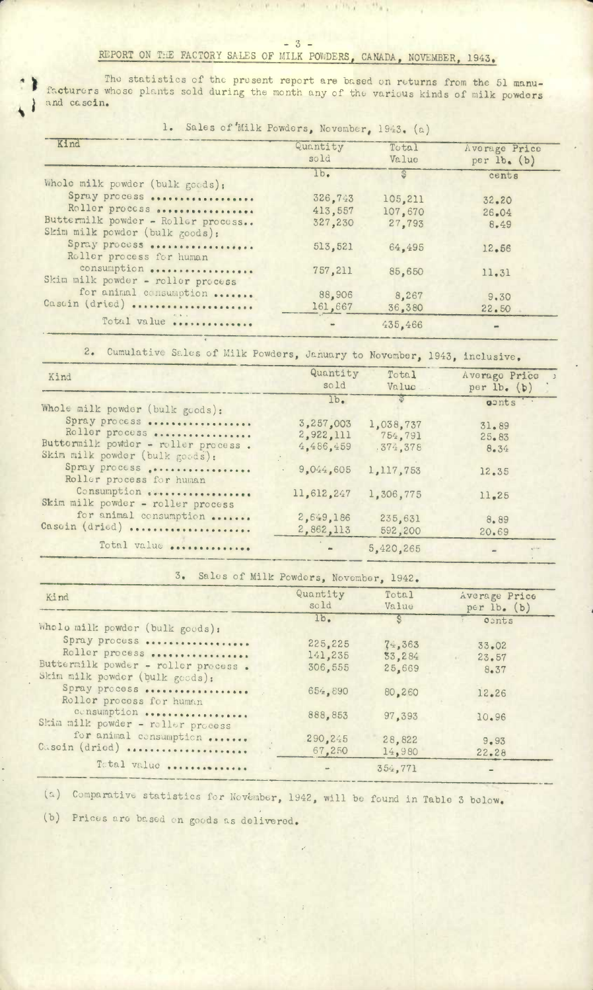## $-3-$ REPORT ON THE FACTORY SALES OF MILK POWDERS, CANADA, NOVEMBER, 1943.

it and the state of the state

The statistics of the present report are based on returns from the 51 manu-<br>facturers whose plants sold during the month any of the various kinds of milk powders and cascin.

1. Sales of Milk Powders, November, 1943. (a)

| Kind                                                                 | Quantity<br>sold | Total<br>Value | Average Price<br>per $lb.$ (b) |
|----------------------------------------------------------------------|------------------|----------------|--------------------------------|
| Whole milk powder (bulk goods):                                      | 1b.              | 63             | cents                          |
| Spray process                                                        | 326,743          | 105.211        | 32.20                          |
| Roller process                                                       | 413,557          | 107,670        | 26.04                          |
| Buttermilk powder - Roller process<br>Skim milk powder (bulk goods): | 327,230          | 27,793         | 8.49                           |
| Spray process<br>Roller process for human                            | 513,521          | 64,495         | 12,56                          |
| consumption<br>Skim milk powder - roller process                     | 757,211          | 85,650         | 11.31                          |
| for animal consumption                                               | 88,906           | 8,267          | 9.30                           |
| Cascin (dried)                                                       | 161,667          | 36.380         | 22.50                          |
| Total value                                                          | $\frac{1}{2}$    | 435,466        |                                |

Cumulative Sales of Milk Powders, January to November, 1943, inclusive.  $2.$ 

| Kind                                                                        | Quantity<br>sold                    | Total<br>Value                   | Averago Price ><br>per $lb.$ (b) |
|-----------------------------------------------------------------------------|-------------------------------------|----------------------------------|----------------------------------|
| Whole milk powder (bulk goods):                                             | lb <sub>•</sub>                     |                                  | oonts                            |
| Spray process<br>Roller process<br>Buttermilk powder - roller process.      | 3,257,003<br>2,922,111<br>4,486,459 | 1,038,737<br>754,791<br>.374.378 | 31.89<br>$25 - 83$<br>8.34       |
| Skim milk powder (bulk goods):<br>Spray process<br>Roller process for human | 9.044.605                           | 1,117,753                        | 12.35                            |
| Consumption description<br>Skim milk powder - roller process                | 11,612,247                          | 1,306,775                        | 11.25                            |
| for animal consumption<br>Casoin (dried)                                    | 2,649,186<br>2,862,113              | 235,631<br>592,200               | 8.89<br>20.69                    |
| Total value                                                                 |                                     | 5,420,265                        | $\sim$                           |

| ∍ כ | Sales of Milk Powders. November. 1942 |  |
|-----|---------------------------------------|--|
|-----|---------------------------------------|--|

| Kind                                                                  | Quantity<br>sold   | Total<br>Value   | Average Price<br>per $lb.$ (b) |
|-----------------------------------------------------------------------|--------------------|------------------|--------------------------------|
| Wholo milk powder (bulk goods):                                       | 1b.                | S                | conts                          |
| Spray process<br>Roller process                                       | 225.225            | $7 - 363$        | $33 - 02$                      |
| Buttermilk powder - roller process.<br>Skim milk powder (bulk goods): | 141,235<br>306.555 | 33,284<br>25,669 | 23.57<br>8.37                  |
| Spray process<br>Roller process for human                             | 654.890            | 80,260           | 12.26                          |
| consumption<br>Skim milk powder - roller process                      | 888,853            | 97.393           | 10.96                          |
| for animal consumption<br>Casoin (dried)                              | 290, 245<br>67,250 | 28,822<br>14,980 | 9.93<br>$22 - 28$              |
| Total value                                                           |                    | 354,771          |                                |

(a) Comparative statistics for November, 1942, will be found in Table 3 below.

(b) Prices are based on goods as delivered.